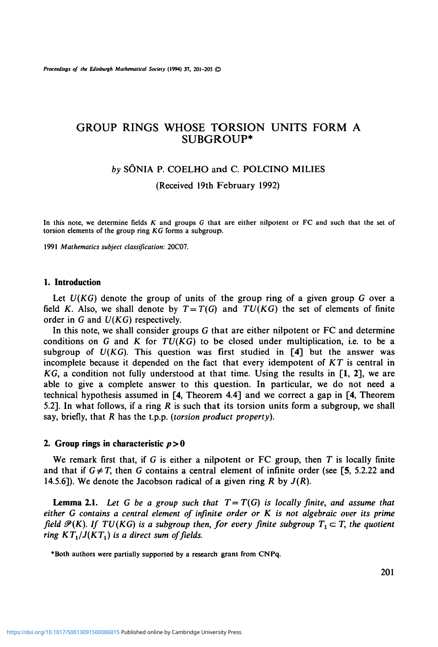# GROUP RINGS WHOSE TORSION UNITS FORM A SUBGROUP\*

### *by* SONIA P. COELHO and C. POLCINO MILIES

(Received 19th February 1992)

**In** this note, we determine fields *K* and groups G that are either nilpotent or FC and such that the set of torsion elements of the group ring *KG* forms a subgroup.

1991 *Mathematics subject classification:* 20C07.

#### **1. Introduction**

Let  $U(KG)$  denote the group of units of the group ring of a given group  $G$  over a field *K*. Also, we shall denote by  $T=T(G)$  and  $TU(KG)$  the set of elements of finite order in *G* and *U(KG)* respectively.

In this note, we shall consider groups G that are either nilpotent or FC and determine conditions on *G* and *K* for *TU(KG)* to be closed under multiplication, i.e. to be a subgroup of *U(KG).* This question was first studied in **[4]** but the answer was incomplete because it depended on the fact that every idempotent of *KT* is central in *KG,* a condition not fully understood at that time. Using the results in [1, 2], we are able to give a complete answer to this question. In particular, we do not need a technical hypothesis assumed in [4, Theorem 4.4] and we correct a gap in [4, Theorem 5.2]. In what follows, if a ring *R* is such that its torsion units form a subgroup, we shall say, briefly, that *R* has the t.p.p. *(torsion product property).*

#### **2. Group rings in characteristic** *p >* **0**

We remark first that, if G is either a nilpotent or FC group, then *T* is locally finite and that if  $G \neq T$ , then G contains a central element of infinite order (see [5, 5.2.22 and 14.5.6]). We denote the Jacobson radical of **a** given ring *R* by *J{R).*

**Lemma 2.1.** Let G be a group such that  $T = T(G)$  is locally finite, and assume that *either G contains a central element of infinite order or K is not algebraic over its prime field*  $\mathcal{P}(K)$ *. If TU(KG) is a subgroup then, for every finite subgroup*  $T_1 \subset T$ *, the quotient ring*  $KT_1/J(KT_1)$  *is a direct sum of fields.* 

**•Both** authors were partially supported by a research **grant from CNPq.**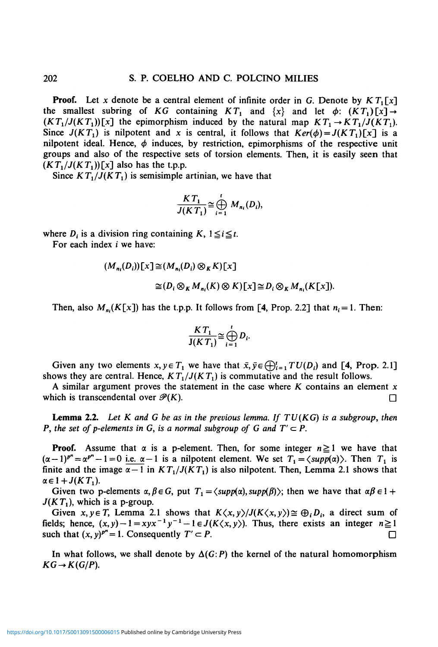**Proof.** Let x denote be a central element of infinite order in G. Denote by  $KT_1[x]$ the smallest subring of KG containing  $KT_1$  and  $\{x\}$  and let  $\phi$ :  $(KT_1)[x] \rightarrow$  $(KT_1/J(KT_1))[x]$  the epimorphism induced by the natural map  $KT_1 \rightarrow KT_1/J(KT_1)$ . Since  $J(KT_1)$  is nilpotent and x is central, it follows that  $Ker(\phi) = J(KT_1)[x]$  is a nilpotent ideal. Hence,  $\phi$  induces, by restriction, epimorphisms of the respective unit groups and also of the respective sets of torsion elements. Then, it is easily seen that  $(KT_1/J(KT_1))[x]$  also has the t.p.p.

Since  $KT_1/J(KT_1)$  is semisimple artinian, we have that

$$
\frac{KT_1}{J(KT_1)} \cong \bigoplus_{i=1}^t M_{n_i}(D_i),
$$

where  $D_i$  is a division ring containing  $K$ ,  $1 \leq i \leq t$ .

For each index *i* we have:

$$
(M_{n_i}(D_i))[x] \cong (M_{n_i}(D_i) \otimes_K K)[x]
$$
  
\n
$$
\cong (D_i \otimes_K M_{n_i}(K) \otimes K)[x] \cong D_i \otimes_K M_{n_i}(K[x]).
$$

Then, also  $M_n(K[x])$  has the t.p.p. It follows from [4, Prop. 2.2] that  $n_i = 1$ . Then:

$$
\frac{KT_1}{J(KT_1)} \cong \bigoplus_{i=1}^t D_i.
$$

Given any two elements  $x, y \in T_1$  we have that  $\bar{x}, \bar{y} \in \bigoplus_{i=1}^r TU(D_i)$  and [4, Prop. 2.1] shows they are central. Hence,  $KT_1/J(KT_1)$  is commutative and the result follows.

A similar argument proves the statement in the case where *K* contains an element x which is transcendental over  $\mathcal{P}(K)$ .

**Lemma 2.2.** *Let K and G be as in the previous lemma. If TV (KG) is a subgroup, then P*, the set of p-elements in G, is a normal subgroup of G and  $T' \subset P$ .

**Proof.** Assume that  $\alpha$  is a p-element. Then, for some integer  $n \ge 1$  we have that  $(\alpha-1)^{p^n} = \alpha^{p^n} - 1 = 0$  i.e.  $\alpha-1$  is a nilpotent element. We set  $T_1 = \langle supp(\alpha) \rangle$ . Then  $T_1$  is finite and the image  $\alpha - 1$  in  $KT_1/J(KT_1)$  is also nilpotent. Then, Lemma 2.1 shows that  $\alpha \in 1 + J(KT_1)$ .

Given two p-elements  $\alpha, \beta \in G$ , put  $T_1 = \langle supp(\alpha), supp(\beta) \rangle$ ; then we have that  $\alpha\beta \in 1 +$  $J(KT_1)$ , which is a p-group.

Given  $x, y \in T$ , Lemma 2.1 shows that  $K\langle x, y \rangle / J(K\langle x, y \rangle) \cong \bigoplus_i D_i$ , a direct sum of fields; hence,  $(x, y) - 1 = xyz^{-1}y^{-1} - 1 \in J(K\langle x, y\rangle)$ . Thus, there exists an integer  $n \ge 1$ such that  $(x, y)^{p^n} = 1$ . Consequently  $T' \subset P$ .

In what follows, we shall denote by  $\Delta(G;P)$  the kernel of the natural homomorphism  $KG \rightarrow K(G/P)$ .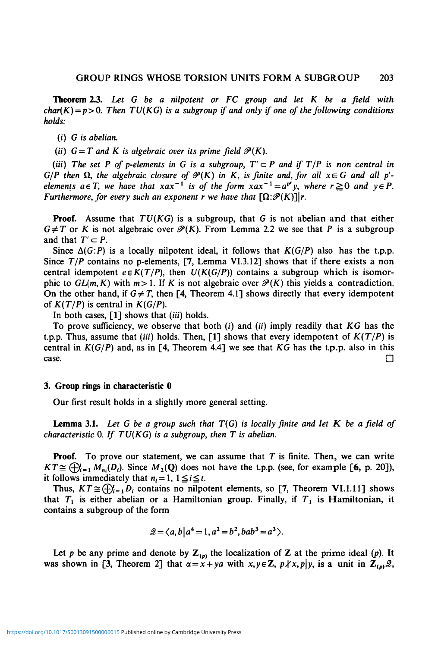**Theorem** *23. Let G be a nilpotent or FC group and let K be a field with*  $char(K) = p > 0$ . Then TU(KG) is a subgroup if and only if one of the following conditions *holds:*

*(i) G is abelian.*

(*ii*)  $G = T$  and K is algebraic over its prime field  $\mathcal{P}(K)$ .

*(iii)* The set P of p-elements in G is a subgroup,  $T' \subset P$  and if  $T/P$  is non central in  $G/P$  then  $\Omega$ , the algebraic closure of  $\mathcal{P}(K)$  in K, is finite and, for all  $x \in G$  and all  $p'$ *elements*  $a \in T$ *, we have that*  $xax^{-1}$  *is of the form*  $xax^{-1} = a^{p^r}y$ *, where*  $r \ge 0$  *and*  $y \in P$ *. Furthermore, for every such an exponent r we have that*  $[\Omega:\mathcal{P}(K)]|r$ .

**Proof.** Assume that *TU(KG)* is a subgroup, that *G* is not abelian and that either  $G \neq T$  or *K* is not algebraic over  $\mathcal{P}(K)$ . From Lemma 2.2 we see that *P* is a subgroup and that  $T' \subset P$ .

Since  $\Delta(G;P)$  is a locally nilpotent ideal, it follows that  $K(G/P)$  also has the t.p.p. Since  $T/P$  contains no p-elements, [7, Lemma VI.3.12] shows that if there exists a non central idempotent  $e \in K(T/P)$ , then  $U(K(G/P))$  contains a subgroup which is isomorphic to  $GL(m, K)$  with  $m>1$ . If K is not algebraic over  $\mathcal{P}(K)$  this yields a contradiction. On the other hand, if  $G \neq T$ , then [4, Theorem 4.1] shows directly that every idempotent of  $K(T/P)$  is central in  $K(G/P)$ .

In both cases, [1] shows that *(iii)* holds.

To prove sufficiency, we observe that both (i) and *(ii)* imply readily that *KG* has the t.p.p. Thus, assume that *(iii)* holds. Then, [1] shows that every idempotent of  $K(T/P)$  is central in *K(G/P)* and, as in [4, Theorem 4.4] we see that *KG* has the t.p.p. also in this case.  $\Box$ 

#### 3. **Group rings** in **characteristic 0**

Our first result holds in a slightly more general setting.

**Lemma 3.1.** *Let G be a group such that T(G) is locally finite and let K be afield of characteristic* 0. If  $TU(KG)$  is a subgroup, then  $T$  is abelian.

**Proof.** To prove our statement, we can assume that  $T$  is finite. Then, we can write  $KT \cong \bigoplus_{i=1}^r M_{n_i}(D_i)$ . Since  $M_2(Q)$  does not have the t.p.p. (see, for example [6, p. 20]), it follows immediately that  $n_i = 1$ ,  $1 \leq i \leq t$ .

Thus,  $KT \cong \bigoplus_{i=1}^{r} D_i$  contains no nilpotent elements, so [7, Theorem VI. 1.11] shows that  $T_1$  is either abelian or a Hamiltonian group. Finally, if  $T_1$  is Hamiltonian, it contains a subgroup of the form

$$
\mathcal{Q} = \langle a, b | a^4 = 1, a^2 = b^2, bab^3 = a^3 \rangle.
$$

Let p be any prime and denote by  $\mathbb{Z}_{(p)}$  the localization of Z at the prime ideal (p). It was shown in [3, Theorem 2] that  $\alpha = x + ya$  with  $x, y \in \mathbb{Z}$ ,  $p \nmid x, p \mid y$ , is a unit in  $\mathbb{Z}_{(p)}\mathscr{Q}$ ,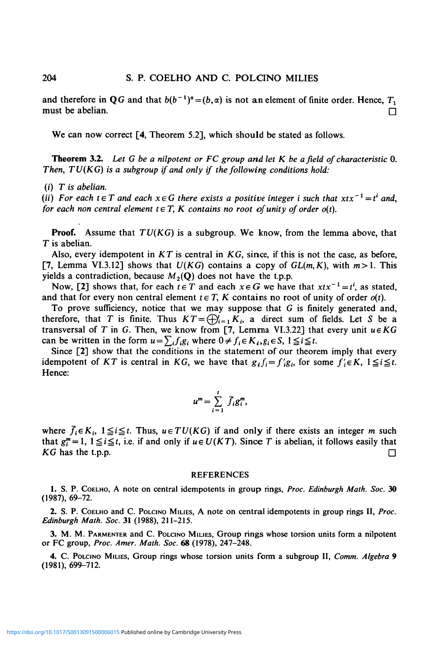and therefore in QG and that  $b(b^{-1})^{\alpha} = (b, \alpha)$  is not an element of finite order. Hence,  $T_1$ must be abelian.  $\square$ 

We can now correct [4, Theorem 5.2], which should be stated as follows.

**Theorem** 3.2. *Let G be a nilpotent or FC group and let K be afield of characteristic* 0. *Then, TV (KG) is a subgroup if and only if the following conditions hold:*

(i) *T is abelian.*

(*ii*) For each  $t \in T$  and each  $x \in G$  there exists a positive integer i such that  $xtx^{-1} = t^i$  and, *for each non central element t*  $\in$  *T*, *K contains no root of unity of order o(t).* 

**Proof.** Assume that *TU(KG)* is a subgroup. We know, from the lemma above, that *T* is abelian.

Also, every idempotent in *KT* is central in *KG,* since, if this is not the case, as before, [7, Lemma VI.3.12] shows that  $U(KG)$  contains a copy of  $GL(m, K)$ , with  $m>1$ . This yields a contradiction, because  $M_2(Q)$  does not have the t.p.p.

Now, [2] shows that, for each  $t \in T$  and each  $x \in G$  we have that  $xtx^{-1} = t^i$ , as stated, and that for every non central element  $t \in T$ , K contains no root of unity of order  $o(t)$ .

To prove sufficiency, notice that we may suppose that  $G$  is finitely generated and, therefore, that T is finite. Thus  $KT = \bigoplus_{i=1}^{n} K_{i}$ , a direct sum of fields. Let S be a transversal of *T* in *G*. Then, we know from [7, Lemma VI.3.22] that every unit  $u \in KG$ can be written in the form  $u = \sum_i f_i g_i$ , where  $0 \neq f_i \in K_i$ ,  $g_i \in S$ ,  $1 \leq i \leq t$ .

Since [2] show that the conditions in the statement of our theorem imply that every idempotent of KT is central in KG, we have that  $g_i f_i = f_i' g_i$ , for some  $f_i' \in K$ ,  $1 \leq i \leq t$ . Hence:

$$
u^m=\sum_{i=1}^l\bar{f}_ig_i^m,
$$

where  $\overline{f}_i \in K_i$ ,  $1 \leq i \leq t$ . Thus,  $u \in TU(KG)$  if and only if there exists an integer *m* such that  $g_i^m = 1$ ,  $1 \le i \le t$ , i.e. if and only if  $u \in U(KT)$ . Since T is abelian, it follows easily that *KG* has the t.p.p.  $\Box$ 

#### REFERENCES

1. S. P. COELHO, A note on central idempotents in group rings, *Proc. Edinburgh Math. Soc.* 30 (1987), 69-72.

2. S. P. COELHO and C. POLCINO MILIES, A note on central idempotents in group rings II, *Proc. Edinburgh Math. Soc.* 31 (1988), 211-215.

3. M. M. PARMENTER and C. POLCINO MILIES, Group rings whose torsion units form a nilpotent or FC group, *Proc. Amer. Math. Soc.* 68 (1978), 247-248.

4. C. POLCINO MILIES, Group rings whose torsion units form a subgroup II, *Comm. Algebra* 9 (1981), 699-712.